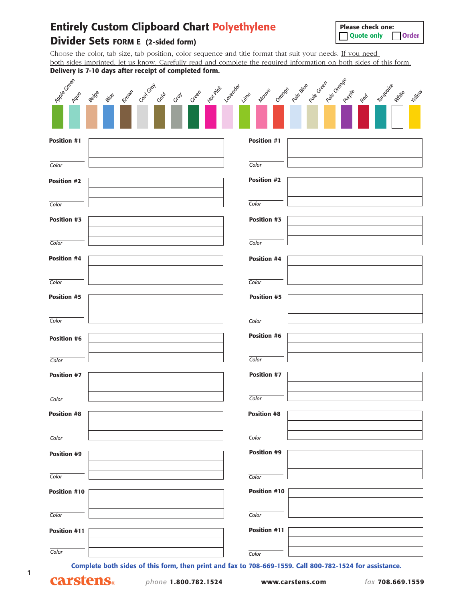## **Entirely Custom Clipboard Chart Polyethylene**

**Please check one:** ❑ **Quote only** ❑ **Order**

### **Divider Sets FORM E (2-sided form)**

Choose the color, tab size, tab position, color sequence and title format that suit your needs. If you need both sides imprinted, let us know. Carefully read and complete the required information on both sides of this form. **Delivery is 7-10 days after receipt of completed form.**

| Apple Creek         | stann cancray cab<br>Geen water Loverded Lime<br>Beige<br><b>glue</b><br>Cray                           | Maure Orange page sue page orange purple<br>Turquoise<br>White<br>Yellow<br>Red |
|---------------------|---------------------------------------------------------------------------------------------------------|---------------------------------------------------------------------------------|
|                     |                                                                                                         |                                                                                 |
| <b>Position #1</b>  |                                                                                                         | <b>Position #1</b>                                                              |
| Color               |                                                                                                         | Color                                                                           |
| <b>Position #2</b>  |                                                                                                         | <b>Position #2</b>                                                              |
| Color               |                                                                                                         | Color                                                                           |
| Position #3         |                                                                                                         | Position #3                                                                     |
| Color               |                                                                                                         | Color                                                                           |
| <b>Position #4</b>  |                                                                                                         | Position #4                                                                     |
| Color               |                                                                                                         | Color                                                                           |
| <b>Position #5</b>  |                                                                                                         | <b>Position #5</b>                                                              |
| Color               |                                                                                                         | Color                                                                           |
| <b>Position #6</b>  |                                                                                                         | <b>Position #6</b>                                                              |
| Color               |                                                                                                         | Color                                                                           |
| <b>Position #7</b>  |                                                                                                         | Position #7                                                                     |
| Color               |                                                                                                         | Color                                                                           |
| Position #8         |                                                                                                         | <b>Position #8</b>                                                              |
| Color               |                                                                                                         | Color                                                                           |
| Position #9         |                                                                                                         | <b>Position #9</b>                                                              |
| Color               |                                                                                                         | Color                                                                           |
| <b>Position #10</b> |                                                                                                         | Position #10                                                                    |
| Color               |                                                                                                         | Color                                                                           |
| Position #11        |                                                                                                         | Position #11                                                                    |
| Color               |                                                                                                         | Color                                                                           |
|                     | Complete both sides of this form, then print and fax to 708-669-1559. Call 800-782-1524 for assistance. |                                                                                 |

**1**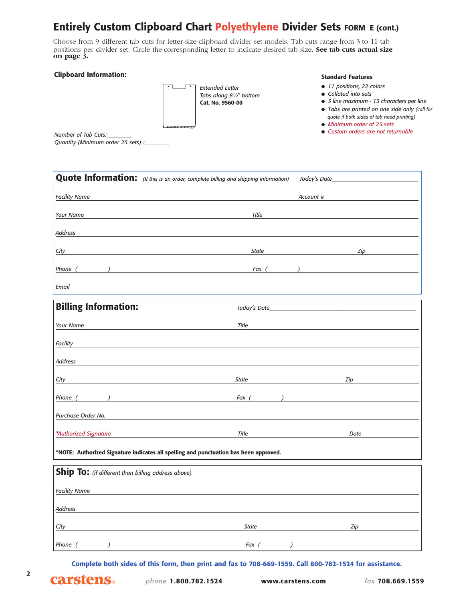### **Entirely Custom Clipboard Chart Polyethylene Divider Sets FORM E (cont.)**

Choose from 9 different tab cuts for letter-size clipboard divider set models. Tab cuts range from 3 to 11 tab positions per divider set. Circle the corresponding letter to indicate desired tab size. **See tab cuts actual size on page 3.**

### **Clipboard Information:**

*Extended Letter Tabs along 81⁄2" bottom* **Cat. No. 9560-00**

#### **Standard Features**

- *11 positions, 22 colors*
- *Collated into sets*
- *3 line maximum 13 characters per line*
- *Tabs are printed on one side only (call for*
- *quote if both sides of tab need printing)* ● *Minimum order of 25 sets*
- *Custom orders are not returnable*

*Number of Tab Cuts:\_\_\_\_\_\_\_\_\_\_\_\_\_ Quantity (Minimum order 25 sets) :\_\_\_\_\_\_\_\_\_\_\_\_\_*

|                                                                                       | <b>Quote Information:</b> (If this is an order, complete billing and shipping information) | Today's Date_                                       |  |  |
|---------------------------------------------------------------------------------------|--------------------------------------------------------------------------------------------|-----------------------------------------------------|--|--|
| <b>Facility Name</b>                                                                  |                                                                                            | Account #                                           |  |  |
| Your Name                                                                             | Title                                                                                      |                                                     |  |  |
|                                                                                       |                                                                                            |                                                     |  |  |
| Address                                                                               |                                                                                            |                                                     |  |  |
| <b>City</b>                                                                           | <b>State</b>                                                                               | Zip                                                 |  |  |
| Phone (                                                                               | Fax (                                                                                      |                                                     |  |  |
| Email                                                                                 |                                                                                            |                                                     |  |  |
| <b>Billing Information:</b>                                                           | Today's Date_                                                                              |                                                     |  |  |
| Your Name                                                                             | Title                                                                                      |                                                     |  |  |
| <b>Facility</b>                                                                       |                                                                                            |                                                     |  |  |
| Address                                                                               |                                                                                            |                                                     |  |  |
| <u>City</u>                                                                           | <b>State</b><br>the control of the control of the control of the control of the control of | Zip<br>the control of the control of the control of |  |  |
| Phone (                                                                               | Fax (<br>$\lambda$                                                                         |                                                     |  |  |
| Purchase Order No.                                                                    |                                                                                            |                                                     |  |  |
| *Authorized Signature                                                                 | Title                                                                                      | Date                                                |  |  |
| *NOTE: Authorized Signature indicates all spelling and punctuation has been approved. |                                                                                            |                                                     |  |  |
| Ship To: (if different than billing address above)                                    |                                                                                            |                                                     |  |  |
| <b>Facility Name</b>                                                                  |                                                                                            |                                                     |  |  |
| Address                                                                               |                                                                                            |                                                     |  |  |
| City                                                                                  | <b>State</b>                                                                               | Zip                                                 |  |  |
| Phone (<br>$\lambda$                                                                  | Fax (<br>)                                                                                 |                                                     |  |  |
|                                                                                       |                                                                                            |                                                     |  |  |

**Complete both sides of this form, then print and fax to 708-669-1559. Call 800-782-1524 for assistance.**

**2**